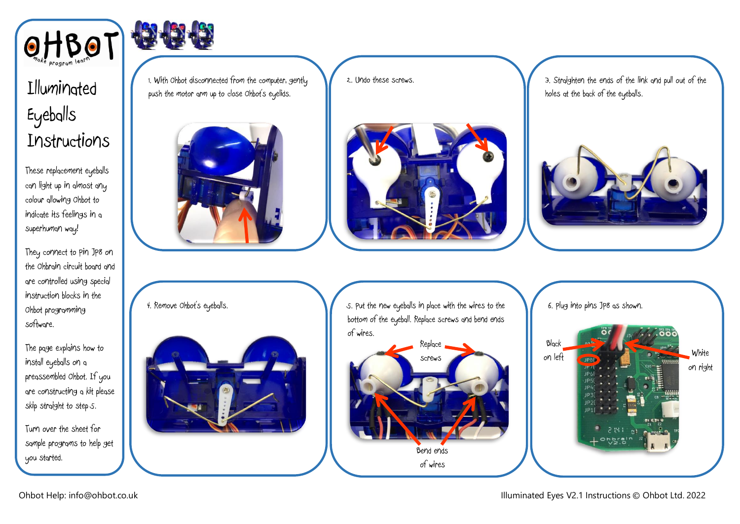

## Illuminated Eyeballs Instructions

These replacement eyeballs can light up in almost any colour allowing Ohbot to indicate its feelings in a superhuman way!

They connect to Pin JP8 on the Ohbrain circuit board and are controlled using special instruction blocks in the Ohbot programming software.

The page explains how to install eyeballs on a preassembled Ohbot. If you are constructing a kit please skip straight to step 5.

Turn over the sheet for sample programs to help get you started.

4. Remove Ohbot's eyeballs.

1. With Ohbot disconnected from the computer, gently push the motor arm up to close Ohbot's eyelids.



2. Undo these screws.



3. Straighten the ends of the link and pull out of the holes at the back of the eyeballs.



5. Put the new eyeballs in place with the wires to the bottom of the eyeball. Replace screws and bend ends of wires.



6. Plug into pins JP8 as shown.